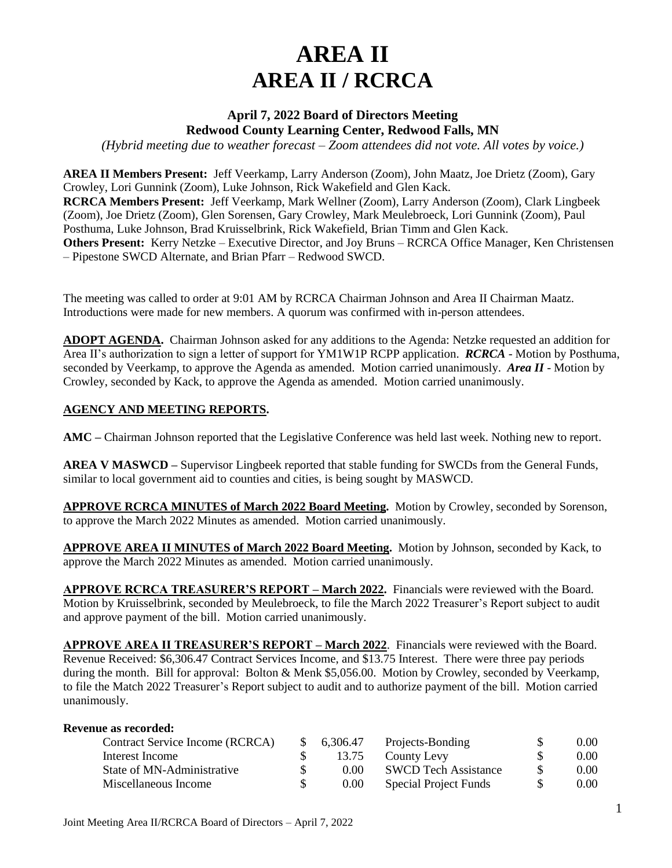# **AREA II AREA II / RCRCA**

## **April 7, 2022 Board of Directors Meeting Redwood County Learning Center, Redwood Falls, MN**

*(Hybrid meeting due to weather forecast – Zoom attendees did not vote. All votes by voice.)*

**AREA II Members Present:** Jeff Veerkamp, Larry Anderson (Zoom), John Maatz, Joe Drietz (Zoom), Gary Crowley, Lori Gunnink (Zoom), Luke Johnson, Rick Wakefield and Glen Kack. **RCRCA Members Present:** Jeff Veerkamp, Mark Wellner (Zoom), Larry Anderson (Zoom), Clark Lingbeek (Zoom), Joe Drietz (Zoom), Glen Sorensen, Gary Crowley, Mark Meulebroeck, Lori Gunnink (Zoom), Paul Posthuma, Luke Johnson, Brad Kruisselbrink, Rick Wakefield, Brian Timm and Glen Kack. **Others Present:** Kerry Netzke – Executive Director, and Joy Bruns – RCRCA Office Manager, Ken Christensen – Pipestone SWCD Alternate, and Brian Pfarr – Redwood SWCD.

The meeting was called to order at 9:01 AM by RCRCA Chairman Johnson and Area II Chairman Maatz. Introductions were made for new members. A quorum was confirmed with in-person attendees.

**ADOPT AGENDA.** Chairman Johnson asked for any additions to the Agenda: Netzke requested an addition for Area II's authorization to sign a letter of support for YM1W1P RCPP application. *RCRCA* - Motion by Posthuma, seconded by Veerkamp, to approve the Agenda as amended. Motion carried unanimously. *Area II* - Motion by Crowley, seconded by Kack, to approve the Agenda as amended. Motion carried unanimously.

#### **AGENCY AND MEETING REPORTS.**

**AMC –** Chairman Johnson reported that the Legislative Conference was held last week. Nothing new to report.

**AREA V MASWCD –** Supervisor Lingbeek reported that stable funding for SWCDs from the General Funds, similar to local government aid to counties and cities, is being sought by MASWCD.

**APPROVE RCRCA MINUTES of March 2022 Board Meeting.** Motion by Crowley, seconded by Sorenson, to approve the March 2022 Minutes as amended. Motion carried unanimously.

**APPROVE AREA II MINUTES of March 2022 Board Meeting.** Motion by Johnson, seconded by Kack, to approve the March 2022 Minutes as amended. Motion carried unanimously.

**APPROVE RCRCA TREASURER'S REPORT – March 2022.** Financials were reviewed with the Board. Motion by Kruisselbrink, seconded by Meulebroeck, to file the March 2022 Treasurer's Report subject to audit and approve payment of the bill. Motion carried unanimously.

**APPROVE AREA II TREASURER'S REPORT – March 2022**. Financials were reviewed with the Board. Revenue Received: \$6,306.47 Contract Services Income, and \$13.75 Interest. There were three pay periods during the month. Bill for approval: Bolton & Menk \$5,056.00. Motion by Crowley, seconded by Veerkamp, to file the Match 2022 Treasurer's Report subject to audit and to authorize payment of the bill. Motion carried unanimously.

| <b>Revenue as recorded:</b>     |            |                             |      |
|---------------------------------|------------|-----------------------------|------|
| Contract Service Income (RCRCA) | 6,306.47   | Projects-Bonding            | 0.00 |
| Interest Income                 | 13.75      | County Levy                 | 0.00 |
| State of MN-Administrative      | \$<br>0.00 | <b>SWCD</b> Tech Assistance | 0.00 |
| Miscellaneous Income            | \$<br>0.00 | Special Project Funds       | 0.00 |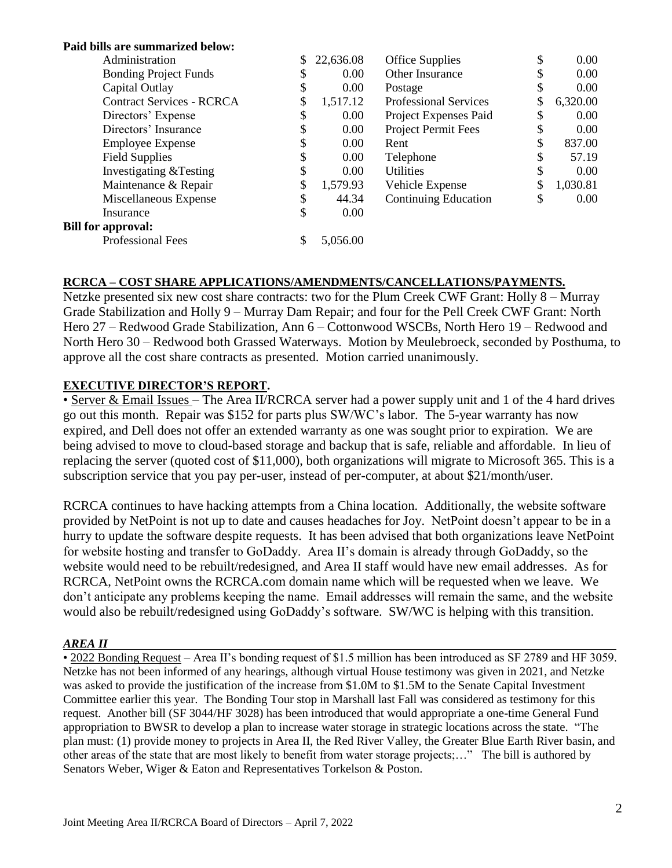| Paid bills are summarized below: |    |           |                              |    |                |
|----------------------------------|----|-----------|------------------------------|----|----------------|
| Administration                   | \$ | 22,636.08 | <b>Office Supplies</b>       | \$ | 0.00           |
| <b>Bonding Project Funds</b>     | \$ | 0.00      | Other Insurance              | \$ | 0.00           |
| Capital Outlay                   |    | 0.00      | Postage                      | \$ | 0.00           |
| <b>Contract Services - RCRCA</b> |    | 1,517.12  | <b>Professional Services</b> | \$ | 6,320.00       |
| Directors' Expense               | S  | $0.00\,$  | Project Expenses Paid        | \$ | 0.00           |
| Directors' Insurance             | J  | $0.00\,$  | <b>Project Permit Fees</b>   | \$ | 0.00           |
| <b>Employee Expense</b>          |    | 0.00      | Rent                         | \$ | 837.00         |
| <b>Field Supplies</b>            | J  | 0.00      | Telephone                    | J  | 57.19          |
| Investigating & Testing          | S  | 0.00      | <b>Utilities</b>             | \$ | $0.00^{\circ}$ |
| Maintenance & Repair             | \$ | 1,579.93  | Vehicle Expense              | \$ | 1,030.81       |
| Miscellaneous Expense            | \$ | 44.34     | <b>Continuing Education</b>  | \$ | 0.00           |
| Insurance                        | \$ | 0.00      |                              |    |                |
| <b>Bill for approval:</b>        |    |           |                              |    |                |
| <b>Professional Fees</b>         | \$ | 5,056.00  |                              |    |                |

### **RCRCA – COST SHARE APPLICATIONS/AMENDMENTS/CANCELLATIONS/PAYMENTS.**

Netzke presented six new cost share contracts: two for the Plum Creek CWF Grant: Holly 8 – Murray Grade Stabilization and Holly 9 – Murray Dam Repair; and four for the Pell Creek CWF Grant: North Hero 27 – Redwood Grade Stabilization, Ann 6 – Cottonwood WSCBs, North Hero 19 – Redwood and North Hero 30 – Redwood both Grassed Waterways. Motion by Meulebroeck, seconded by Posthuma, to approve all the cost share contracts as presented. Motion carried unanimously.

### **EXECUTIVE DIRECTOR'S REPORT.**

• Server & Email Issues – The Area II/RCRCA server had a power supply unit and 1 of the 4 hard drives go out this month. Repair was \$152 for parts plus SW/WC's labor. The 5-year warranty has now expired, and Dell does not offer an extended warranty as one was sought prior to expiration. We are being advised to move to cloud-based storage and backup that is safe, reliable and affordable. In lieu of replacing the server (quoted cost of \$11,000), both organizations will migrate to Microsoft 365. This is a subscription service that you pay per-user, instead of per-computer, at about \$21/month/user.

RCRCA continues to have hacking attempts from a China location. Additionally, the website software provided by NetPoint is not up to date and causes headaches for Joy. NetPoint doesn't appear to be in a hurry to update the software despite requests. It has been advised that both organizations leave NetPoint for website hosting and transfer to GoDaddy. Area II's domain is already through GoDaddy, so the website would need to be rebuilt/redesigned, and Area II staff would have new email addresses. As for RCRCA, NetPoint owns the RCRCA.com domain name which will be requested when we leave. We don't anticipate any problems keeping the name. Email addresses will remain the same, and the website would also be rebuilt/redesigned using GoDaddy's software. SW/WC is helping with this transition.

#### *AREA II*

• 2022 Bonding Request – Area II's bonding request of \$1.5 million has been introduced as SF 2789 and HF 3059. Netzke has not been informed of any hearings, although virtual House testimony was given in 2021, and Netzke was asked to provide the justification of the increase from \$1.0M to \$1.5M to the Senate Capital Investment Committee earlier this year. The Bonding Tour stop in Marshall last Fall was considered as testimony for this request. Another bill (SF 3044/HF 3028) has been introduced that would appropriate a one-time General Fund appropriation to BWSR to develop a plan to increase water storage in strategic locations across the state. "The plan must: (1) provide money to projects in Area II, the Red River Valley, the Greater Blue Earth River basin, and other areas of the state that are most likely to benefit from water storage projects;…" The bill is authored by Senators Weber, Wiger & Eaton and Representatives Torkelson & Poston.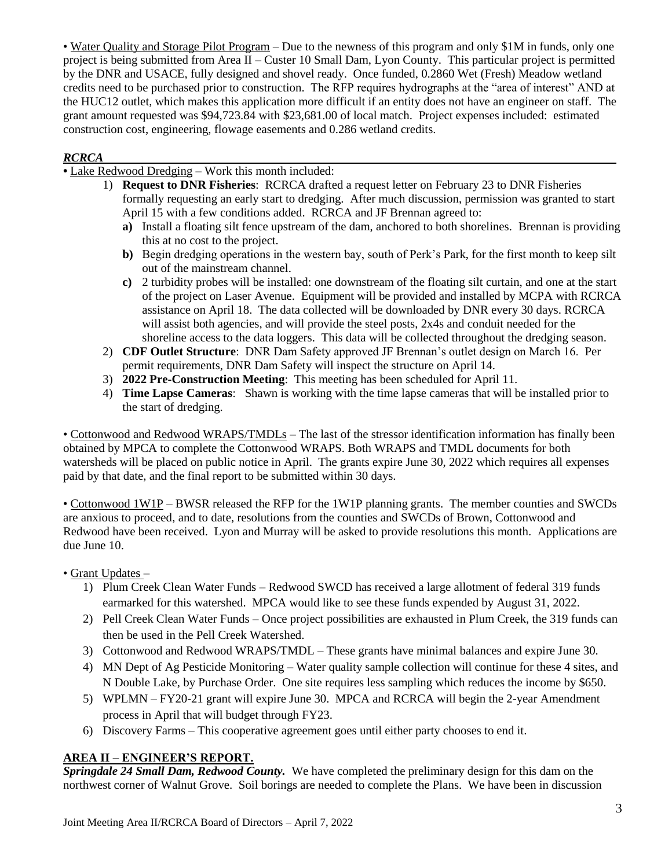• Water Quality and Storage Pilot Program – Due to the newness of this program and only \$1M in funds, only one project is being submitted from Area II – Custer 10 Small Dam, Lyon County. This particular project is permitted by the DNR and USACE, fully designed and shovel ready. Once funded, 0.2860 Wet (Fresh) Meadow wetland credits need to be purchased prior to construction. The RFP requires hydrographs at the "area of interest" AND at the HUC12 outlet, which makes this application more difficult if an entity does not have an engineer on staff. The grant amount requested was \$94,723.84 with \$23,681.00 of local match. Project expenses included: estimated construction cost, engineering, flowage easements and 0.286 wetland credits.

## *RCRCA*

**•** Lake Redwood Dredging – Work this month included:

- 1) **Request to DNR Fisheries**: RCRCA drafted a request letter on February 23 to DNR Fisheries formally requesting an early start to dredging. After much discussion, permission was granted to start April 15 with a few conditions added. RCRCA and JF Brennan agreed to:
	- **a)** Install a floating silt fence upstream of the dam, anchored to both shorelines. Brennan is providing this at no cost to the project.
	- **b**) Begin dredging operations in the western bay, south of Perk's Park, for the first month to keep silt out of the mainstream channel.
	- **c)** 2 turbidity probes will be installed: one downstream of the floating silt curtain, and one at the start of the project on Laser Avenue. Equipment will be provided and installed by MCPA with RCRCA assistance on April 18. The data collected will be downloaded by DNR every 30 days. RCRCA will assist both agencies, and will provide the steel posts, 2x4s and conduit needed for the shoreline access to the data loggers. This data will be collected throughout the dredging season.
- 2) **CDF Outlet Structure**: DNR Dam Safety approved JF Brennan's outlet design on March 16. Per permit requirements, DNR Dam Safety will inspect the structure on April 14.
- 3) **2022 Pre-Construction Meeting**: This meeting has been scheduled for April 11.
- 4) **Time Lapse Cameras**: Shawn is working with the time lapse cameras that will be installed prior to the start of dredging.

• Cottonwood and Redwood WRAPS/TMDLs – The last of the stressor identification information has finally been obtained by MPCA to complete the Cottonwood WRAPS. Both WRAPS and TMDL documents for both watersheds will be placed on public notice in April. The grants expire June 30, 2022 which requires all expenses paid by that date, and the final report to be submitted within 30 days.

• Cottonwood 1W1P – BWSR released the RFP for the 1W1P planning grants. The member counties and SWCDs are anxious to proceed, and to date, resolutions from the counties and SWCDs of Brown, Cottonwood and Redwood have been received. Lyon and Murray will be asked to provide resolutions this month. Applications are due June 10.

• Grant Updates –

- 1) Plum Creek Clean Water Funds Redwood SWCD has received a large allotment of federal 319 funds earmarked for this watershed. MPCA would like to see these funds expended by August 31, 2022.
- 2) Pell Creek Clean Water Funds Once project possibilities are exhausted in Plum Creek, the 319 funds can then be used in the Pell Creek Watershed.
- 3) Cottonwood and Redwood WRAPS/TMDL These grants have minimal balances and expire June 30.
- 4) MN Dept of Ag Pesticide Monitoring Water quality sample collection will continue for these 4 sites, and N Double Lake, by Purchase Order. One site requires less sampling which reduces the income by \$650.
- 5) WPLMN FY20-21 grant will expire June 30. MPCA and RCRCA will begin the 2-year Amendment process in April that will budget through FY23.
- 6) Discovery Farms This cooperative agreement goes until either party chooses to end it.

## **AREA II – ENGINEER'S REPORT.**

*Springdale 24 Small Dam, Redwood County.* We have completed the preliminary design for this dam on the northwest corner of Walnut Grove. Soil borings are needed to complete the Plans. We have been in discussion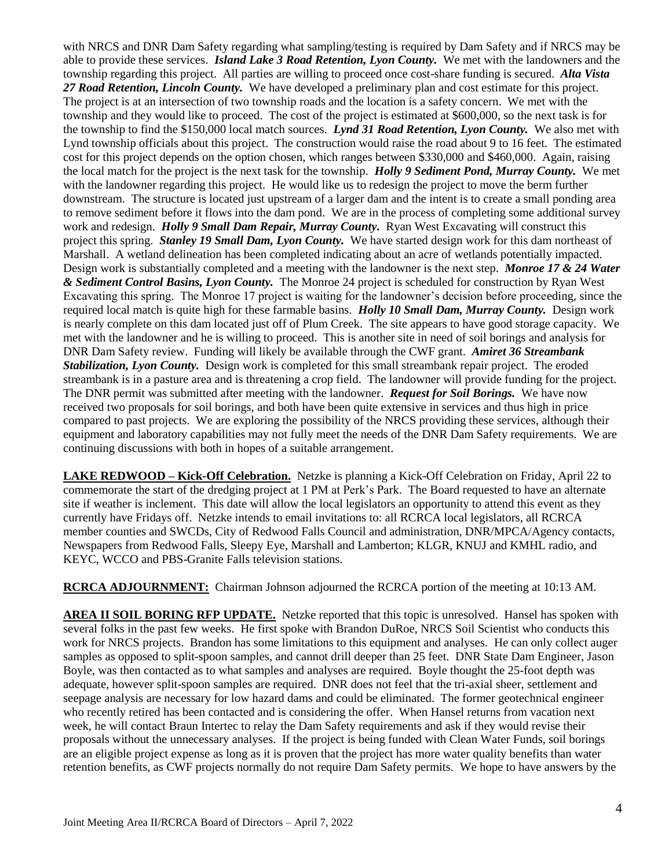with NRCS and DNR Dam Safety regarding what sampling/testing is required by Dam Safety and if NRCS may be able to provide these services. *Island Lake 3 Road Retention, Lyon County.* We met with the landowners and the township regarding this project. All parties are willing to proceed once cost-share funding is secured. *Alta Vista 27 Road Retention, Lincoln County.* We have developed a preliminary plan and cost estimate for this project. The project is at an intersection of two township roads and the location is a safety concern. We met with the township and they would like to proceed. The cost of the project is estimated at \$600,000, so the next task is for the township to find the \$150,000 local match sources. *Lynd 31 Road Retention, Lyon County.* We also met with Lynd township officials about this project. The construction would raise the road about 9 to 16 feet. The estimated cost for this project depends on the option chosen, which ranges between \$330,000 and \$460,000. Again, raising the local match for the project is the next task for the township. *Holly 9 Sediment Pond, Murray County.* We met with the landowner regarding this project. He would like us to redesign the project to move the berm further downstream. The structure is located just upstream of a larger dam and the intent is to create a small ponding area to remove sediment before it flows into the dam pond. We are in the process of completing some additional survey work and redesign. *Holly 9 Small Dam Repair, Murray County.* Ryan West Excavating will construct this project this spring. *Stanley 19 Small Dam, Lyon County.* We have started design work for this dam northeast of Marshall. A wetland delineation has been completed indicating about an acre of wetlands potentially impacted. Design work is substantially completed and a meeting with the landowner is the next step. *Monroe 17 & 24 Water & Sediment Control Basins, Lyon County.* The Monroe 24 project is scheduled for construction by Ryan West Excavating this spring. The Monroe 17 project is waiting for the landowner's decision before proceeding, since the required local match is quite high for these farmable basins. *Holly 10 Small Dam, Murray County.* Design work is nearly complete on this dam located just off of Plum Creek. The site appears to have good storage capacity. We met with the landowner and he is willing to proceed. This is another site in need of soil borings and analysis for DNR Dam Safety review. Funding will likely be available through the CWF grant. *Amiret 36 Streambank Stabilization, Lyon County.* Design work is completed for this small streambank repair project. The eroded streambank is in a pasture area and is threatening a crop field. The landowner will provide funding for the project. The DNR permit was submitted after meeting with the landowner. *Request for Soil Borings.* We have now received two proposals for soil borings, and both have been quite extensive in services and thus high in price compared to past projects. We are exploring the possibility of the NRCS providing these services, although their equipment and laboratory capabilities may not fully meet the needs of the DNR Dam Safety requirements. We are continuing discussions with both in hopes of a suitable arrangement.

**LAKE REDWOOD – Kick-Off Celebration.** Netzke is planning a Kick-Off Celebration on Friday, April 22 to commemorate the start of the dredging project at 1 PM at Perk's Park. The Board requested to have an alternate site if weather is inclement. This date will allow the local legislators an opportunity to attend this event as they currently have Fridays off. Netzke intends to email invitations to: all RCRCA local legislators, all RCRCA member counties and SWCDs, City of Redwood Falls Council and administration, DNR/MPCA/Agency contacts, Newspapers from Redwood Falls, Sleepy Eye, Marshall and Lamberton; KLGR, KNUJ and KMHL radio, and KEYC, WCCO and PBS-Granite Falls television stations.

**RCRCA ADJOURNMENT:** Chairman Johnson adjourned the RCRCA portion of the meeting at 10:13 AM.

**AREA II SOIL BORING RFP UPDATE.** Netzke reported that this topic is unresolved. Hansel has spoken with several folks in the past few weeks. He first spoke with Brandon DuRoe, NRCS Soil Scientist who conducts this work for NRCS projects. Brandon has some limitations to this equipment and analyses. He can only collect auger samples as opposed to split-spoon samples, and cannot drill deeper than 25 feet. DNR State Dam Engineer, Jason Boyle, was then contacted as to what samples and analyses are required. Boyle thought the 25-foot depth was adequate, however split-spoon samples are required. DNR does not feel that the tri-axial sheer, settlement and seepage analysis are necessary for low hazard dams and could be eliminated. The former geotechnical engineer who recently retired has been contacted and is considering the offer. When Hansel returns from vacation next week, he will contact Braun Intertec to relay the Dam Safety requirements and ask if they would revise their proposals without the unnecessary analyses. If the project is being funded with Clean Water Funds, soil borings are an eligible project expense as long as it is proven that the project has more water quality benefits than water retention benefits, as CWF projects normally do not require Dam Safety permits. We hope to have answers by the